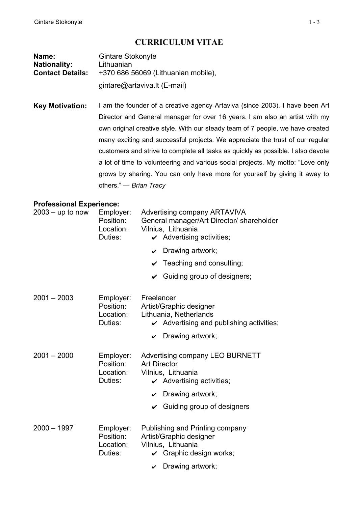## **CURRICULUM VITAE**

| Name:                   | <b>Gintare Stokonyte</b>            |  |  |
|-------------------------|-------------------------------------|--|--|
| <b>Nationality:</b>     | Lithuanian                          |  |  |
| <b>Contact Details:</b> | +370 686 56069 (Lithuanian mobile), |  |  |
|                         | gintare@artaviva.lt (E-mail)        |  |  |

**Key Motivation:** I am the founder of a creative agency Artaviva (since 2003). I have been Art Director and General manager for over 16 years. I am also an artist with my own original creative style. With our steady team of 7 people, we have created many exciting and successful projects. We appreciate the trust of our regular customers and strive to complete all tasks as quickly as possible. I also devote a lot of time to volunteering and various social projects. My motto: "Love only grows by sharing. You can only have more for yourself by giving it away to others." ― *Brian Tracy* 

## **Professional Experience:**

| $2003 - up to now$ | Employer:<br>Position:<br>Location:<br>Duties: | Advertising company ARTAVIVA<br>General manager/Art Director/ shareholder<br>Vilnius, Lithuania<br>$\boldsymbol{\checkmark}$ Advertising activities; |
|--------------------|------------------------------------------------|------------------------------------------------------------------------------------------------------------------------------------------------------|
|                    |                                                | $\smile$ Drawing artwork;                                                                                                                            |
|                    |                                                | $\checkmark$ Teaching and consulting;                                                                                                                |
|                    |                                                | $\checkmark$ Guiding group of designers;                                                                                                             |
| $2001 - 2003$      | Employer:<br>Position:<br>Location:<br>Duties: | Freelancer<br>Artist/Graphic designer<br>Lithuania, Netherlands<br>$\boldsymbol{\checkmark}$ Advertising and publishing activities;                  |
|                    |                                                | $\mathcal V$ Drawing artwork;                                                                                                                        |
| $2001 - 2000$      | Employer:<br>Position:<br>Location:<br>Duties: | Advertising company LEO BURNETT<br><b>Art Director</b><br>Vilnius, Lithuania<br>$\boldsymbol{\checkmark}$ Advertising activities;                    |
|                    |                                                | Drawing artwork;<br>$\checkmark$                                                                                                                     |
|                    |                                                | $\vee$ Guiding group of designers                                                                                                                    |
| $2000 - 1997$      | Employer:<br>Position:<br>Location:<br>Duties: | Publishing and Printing company<br>Artist/Graphic designer<br>Vilnius, Lithuania<br>$\checkmark$ Graphic design works;                               |
|                    |                                                | Drawing artwork;<br>$\checkmark$                                                                                                                     |